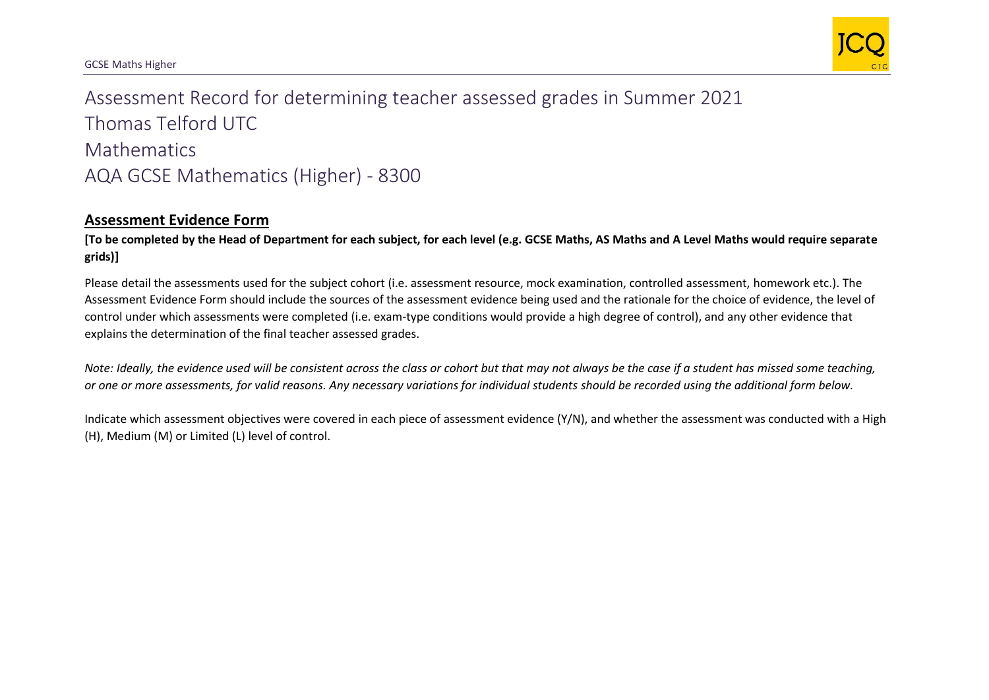

## Assessment Record for determining teacher assessed grades in Summer 2021 Thomas Telford UTC **Mathematics** AQA GCSE Mathematics (Higher) - 8300

## **Assessment Evidence Form**

**[To be completed by the Head of Department for each subject, for each level (e.g. GCSE Maths, AS Maths and A Level Maths would require separate grids)]**

Please detail the assessments used for the subject cohort (i.e. assessment resource, mock examination, controlled assessment, homework etc.). The Assessment Evidence Form should include the sources of the assessment evidence being used and the rationale for the choice of evidence, the level of control under which assessments were completed (i.e. exam-type conditions would provide a high degree of control), and any other evidence that explains the determination of the final teacher assessed grades.

*Note: Ideally, the evidence used will be consistent across the class or cohort but that may not always be the case if a student has missed some teaching, or one or more assessments, for valid reasons. Any necessary variations for individual students should be recorded using the additional form below.* 

Indicate which assessment objectives were covered in each piece of assessment evidence (Y/N), and whether the assessment was conducted with a High (H), Medium (M) or Limited (L) level of control.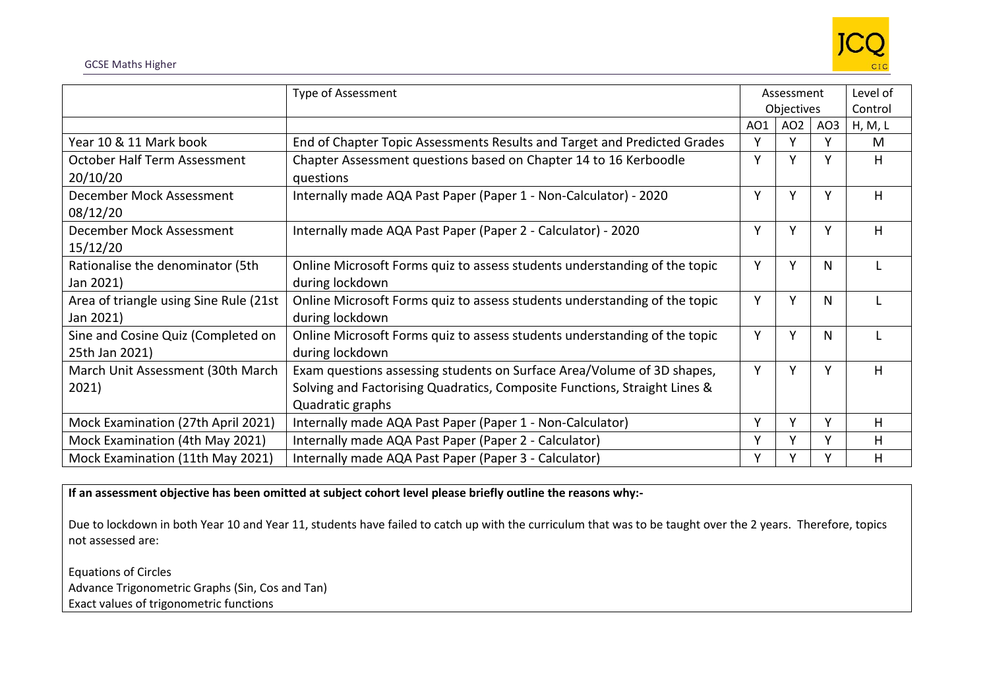

|                                        | <b>Type of Assessment</b>                                                 | Assessment |                 | Level of        |         |
|----------------------------------------|---------------------------------------------------------------------------|------------|-----------------|-----------------|---------|
|                                        |                                                                           | Objectives |                 | Control         |         |
|                                        |                                                                           | AO1        | AO <sub>2</sub> | AO <sub>3</sub> | H, M, L |
| Year 10 & 11 Mark book                 | End of Chapter Topic Assessments Results and Target and Predicted Grades  | v          | v               |                 | M       |
| October Half Term Assessment           | Chapter Assessment questions based on Chapter 14 to 16 Kerboodle          | Υ          | v               |                 | н       |
| 20/10/20                               | questions                                                                 |            |                 |                 |         |
| December Mock Assessment               | Internally made AQA Past Paper (Paper 1 - Non-Calculator) - 2020          | Y          | Υ               | V               | н       |
| 08/12/20                               |                                                                           |            |                 |                 |         |
| December Mock Assessment               | Internally made AQA Past Paper (Paper 2 - Calculator) - 2020              | Υ          | Y               | Y               | H       |
| 15/12/20                               |                                                                           |            |                 |                 |         |
| Rationalise the denominator (5th       | Online Microsoft Forms quiz to assess students understanding of the topic | Y          | Y               | N               |         |
| Jan 2021)                              | during lockdown                                                           |            |                 |                 |         |
| Area of triangle using Sine Rule (21st | Online Microsoft Forms quiz to assess students understanding of the topic | Y          | Υ               | N               |         |
| Jan 2021)                              | during lockdown                                                           |            |                 |                 |         |
| Sine and Cosine Quiz (Completed on     | Online Microsoft Forms quiz to assess students understanding of the topic | Y          | v               | N               |         |
| 25th Jan 2021)                         | during lockdown                                                           |            |                 |                 |         |
| March Unit Assessment (30th March      | Exam questions assessing students on Surface Area/Volume of 3D shapes,    | Y          | Y               | Y               | н       |
| 2021)                                  | Solving and Factorising Quadratics, Composite Functions, Straight Lines & |            |                 |                 |         |
|                                        | Quadratic graphs                                                          |            |                 |                 |         |
| Mock Examination (27th April 2021)     | Internally made AQA Past Paper (Paper 1 - Non-Calculator)                 | Y          | Υ               | Y               | н       |
| Mock Examination (4th May 2021)        | Internally made AQA Past Paper (Paper 2 - Calculator)                     | Y          | Y               | Y               | H       |
| Mock Examination (11th May 2021)       | Internally made AQA Past Paper (Paper 3 - Calculator)                     | Υ          | v               |                 | H       |

**If an assessment objective has been omitted at subject cohort level please briefly outline the reasons why:-**

Due to lockdown in both Year 10 and Year 11, students have failed to catch up with the curriculum that was to be taught over the 2 years. Therefore, topics not assessed are:

Equations of Circles Advance Trigonometric Graphs (Sin, Cos and Tan) Exact values of trigonometric functions